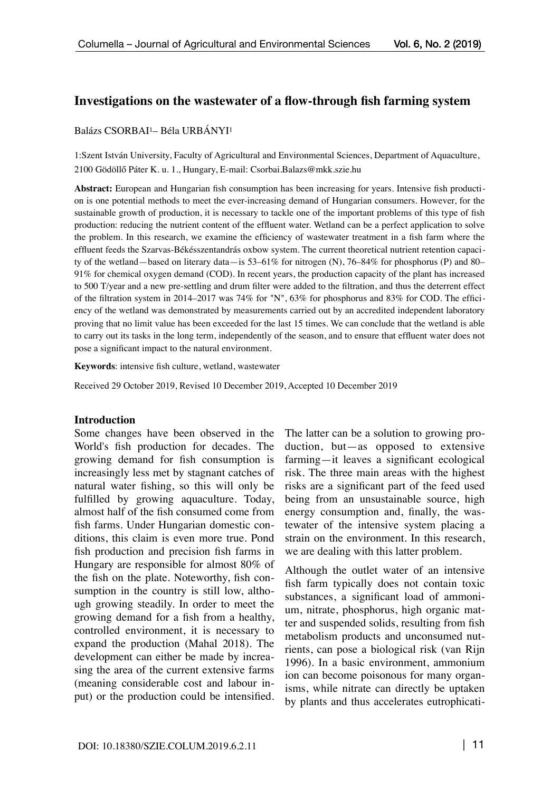#### **Investigations on the wastewater of a flow-through fish farming system**

#### Balázs CSORBAI1– Béla URBÁNYI1

1:Szent István University, Faculty of Agricultural and Environmental Sciences, Department of Aquaculture, 2100 Gödöllő Páter K. u. 1., Hungary, E-mail: [Csorbai.Balazs@mkk.szie.hu](mailto:csorbai.Balazs@mkk.szie.hu) 

**Abstract:** European and Hungarian fish consumption has been increasing for years. Intensive fish production is one potential methods to meet the ever-increasing demand of Hungarian consumers. However, for the sustainable growth of production, it is necessary to tackle one of the important problems of this type of fish production: reducing the nutrient content of the effluent water. Wetland can be a perfect application to solve the problem. In this research, we examine the efficiency of wastewater treatment in a fish farm where the effluent feeds the Szarvas-Békésszentandrás oxbow system. The current theoretical nutrient retention capacity of the wetland—based on literary data—is 53–61% for nitrogen (N), 76–84% for phosphorus (P) and 80– 91% for chemical oxygen demand (COD). In recent years, the production capacity of the plant has increased to 500 T/year and a new pre-settling and drum filter were added to the filtration, and thus the deterrent effect of the filtration system in 2014–2017 was 74% for "N", 63% for phosphorus and 83% for COD. The efficiency of the wetland was demonstrated by measurements carried out by an accredited independent laboratory proving that no limit value has been exceeded for the last 15 times. We can conclude that the wetland is able to carry out its tasks in the long term, independently of the season, and to ensure that effluent water does not pose a significant impact to the natural environment.

**Keywords**: intensive fish culture, wetland, wastewater

Received 29 October 2019, Revised 10 December 2019, Accepted 10 December 2019

#### **Introduction**

Some changes have been observed in the World's fish production for decades. The growing demand for fish consumption is increasingly less met by stagnant catches of natural water fishing, so this will only be fulfilled by growing aquaculture. Today, almost half of the fish consumed come from fish farms. Under Hungarian domestic conditions, this claim is even more true. Pond fish production and precision fish farms in Hungary are responsible for almost 80% of the fish on the plate. Noteworthy, fish consumption in the country is still low, although growing steadily. In order to meet the growing demand for a fish from a healthy, controlled environment, it is necessary to expand the production (Mahal 2018). The development can either be made by increasing the area of the current extensive farms (meaning considerable cost and labour input) or the production could be intensified.

The latter can be a solution to growing production, but—as opposed to extensive farming—it leaves a significant ecological risk. The three main areas with the highest risks are a significant part of the feed used being from an unsustainable source, high energy consumption and, finally, the wastewater of the intensive system placing a strain on the environment. In this research, we are dealing with this latter problem.

Although the outlet water of an intensive fish farm typically does not contain toxic substances, a significant load of ammonium, nitrate, phosphorus, high organic matter and suspended solids, resulting from fish metabolism products and unconsumed nutrients, can pose a biological risk (van Rijn 1996). In a basic environment, ammonium ion can become poisonous for many organisms, while nitrate can directly be uptaken by plants and thus accelerates eutrophicati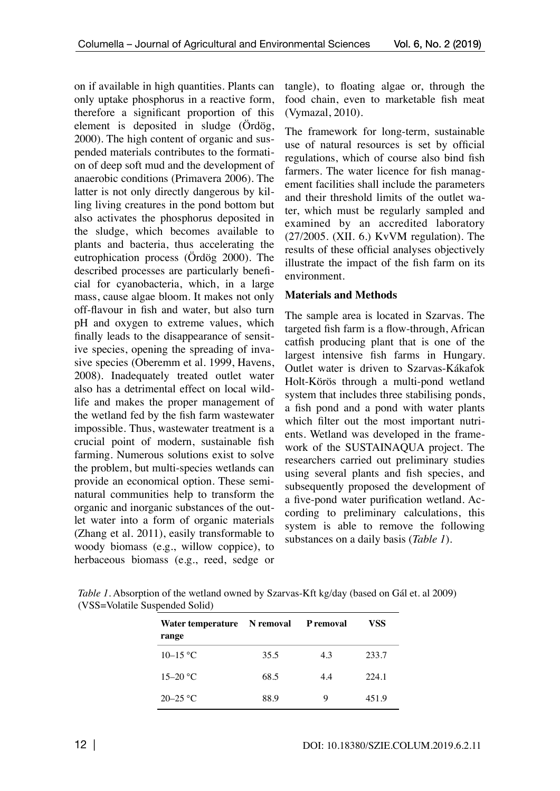on if available in high quantities. Plants can only uptake phosphorus in a reactive form, therefore a significant proportion of this element is deposited in sludge (Ördög, 2000). The high content of organic and suspended materials contributes to the formation of deep soft mud and the development of anaerobic conditions (Primavera 2006). The latter is not only directly dangerous by killing living creatures in the pond bottom but also activates the phosphorus deposited in the sludge, which becomes available to plants and bacteria, thus accelerating the eutrophication process (Ördög 2000). The described processes are particularly beneficial for cyanobacteria, which, in a large mass, cause algae bloom. It makes not only off-flavour in fish and water, but also turn pH and oxygen to extreme values, which finally leads to the disappearance of sensitive species, opening the spreading of invasive species (Oberemm et al. 1999, Havens, 2008). Inadequately treated outlet water also has a detrimental effect on local wildlife and makes the proper management of the wetland fed by the fish farm wastewater impossible. Thus, wastewater treatment is a crucial point of modern, sustainable fish farming. Numerous solutions exist to solve the problem, but multi-species wetlands can provide an economical option. These seminatural communities help to transform the organic and inorganic substances of the outlet water into a form of organic materials (Zhang et al. 2011), easily transformable to woody biomass (e.g., willow coppice), to herbaceous biomass (e.g., reed, sedge or

tangle), to floating algae or, through the food chain, even to marketable fish meat (Vymazal, 2010).

The framework for long-term, sustainable use of natural resources is set by official regulations, which of course also bind fish farmers. The water licence for fish management facilities shall include the parameters and their threshold limits of the outlet water, which must be regularly sampled and examined by an accredited laboratory (27/2005. (XII. 6.) KvVM regulation). The results of these official analyses objectively illustrate the impact of the fish farm on its environment.

#### **Materials and Methods**

The sample area is located in Szarvas. The targeted fish farm is a flow-through, African catfish producing plant that is one of the largest intensive fish farms in Hungary. Outlet water is driven to Szarvas-Kákafok Holt-Körös through a multi-pond wetland system that includes three stabilising ponds, a fish pond and a pond with water plants which filter out the most important nutrients. Wetland was developed in the framework of the SUSTAINAQUA project. The researchers carried out preliminary studies using several plants and fish species, and subsequently proposed the development of a five-pond water purification wetland. According to preliminary calculations, this system is able to remove the following substances on a daily basis (*Table 1*).

*Table 1.* Absorption of the wetland owned by Szarvas-Kft kg/day (based on Gál et. al 2009) (VSS=Volatile Suspended Solid)

| Water temperature N removal<br>range |      | <b>P</b> removal | VSS   |
|--------------------------------------|------|------------------|-------|
| $10-15$ °C                           | 35.5 | 4.3              | 233.7 |
| $15-20$ °C                           | 68.5 | 4.4              | 224.1 |
| $20 - 25$ °C                         | 88.9 | Q                | 451.9 |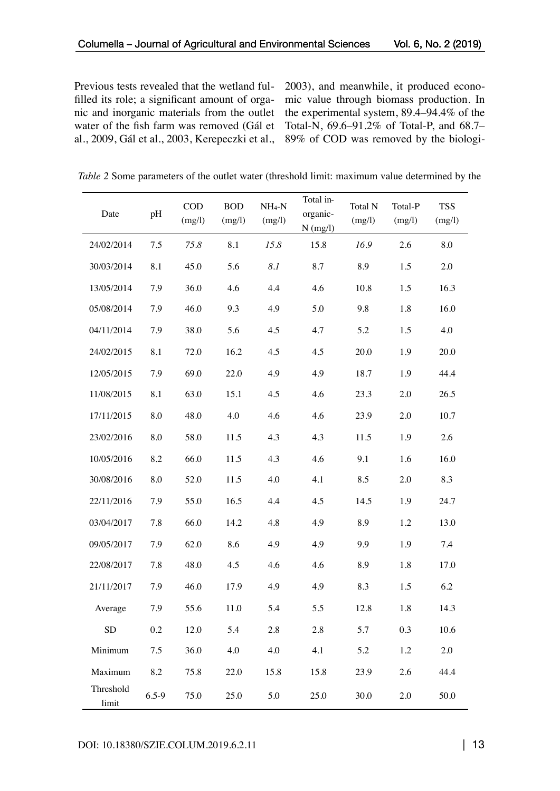Previous tests revealed that the wetland fulfilled its role; a significant amount of organic and inorganic materials from the outlet water of the fish farm was removed (Gál et al., 2009, Gál et al., 2003, Kerepeczki et al.,

2003), and meanwhile, it produced economic value through biomass production. In the experimental system, 89.4–94.4% of the Total-N, 69.6–91.2% of Total-P, and 68.7– 89% of COD was removed by the biologi-

| Table 2 Some parameters of the outlet water (threshold limit: maximum value determined by the |  |
|-----------------------------------------------------------------------------------------------|--|
|-----------------------------------------------------------------------------------------------|--|

| Date               | pH        | <b>COD</b><br>(mg/l) | <b>BOD</b><br>(mg/l) | $NH_4-N$<br>(mg/l) | Total in-<br>organic-<br>$N$ (mg/l) | Total N<br>(mg/l) | Total-P<br>(mg/l) | <b>TSS</b><br>(mg/l) |
|--------------------|-----------|----------------------|----------------------|--------------------|-------------------------------------|-------------------|-------------------|----------------------|
| 24/02/2014         | 7.5       | 75.8                 | 8.1                  | 15.8               | 15.8                                | 16.9              | 2.6               | 8.0                  |
| 30/03/2014         | 8.1       | 45.0                 | 5.6                  | 8.1                | 8.7                                 | 8.9               | 1.5               | 2.0                  |
| 13/05/2014         | 7.9       | 36.0                 | 4.6                  | 4.4                | 4.6                                 | 10.8              | 1.5               | 16.3                 |
| 05/08/2014         | 7.9       | 46.0                 | 9.3                  | 4.9                | 5.0                                 | 9.8               | 1.8               | 16.0                 |
| 04/11/2014         | 7.9       | 38.0                 | 5.6                  | 4.5                | 4.7                                 | 5.2               | 1.5               | 4.0                  |
| 24/02/2015         | 8.1       | 72.0                 | 16.2                 | 4.5                | 4.5                                 | 20.0              | 1.9               | 20.0                 |
| 12/05/2015         | 7.9       | 69.0                 | 22.0                 | 4.9                | 4.9                                 | 18.7              | 1.9               | 44.4                 |
| 11/08/2015         | 8.1       | 63.0                 | 15.1                 | 4.5                | 4.6                                 | 23.3              | 2.0               | 26.5                 |
| 17/11/2015         | 8.0       | 48.0                 | 4.0                  | 4.6                | 4.6                                 | 23.9              | 2.0               | 10.7                 |
| 23/02/2016         | 8.0       | 58.0                 | 11.5                 | 4.3                | 4.3                                 | 11.5              | 1.9               | 2.6                  |
| 10/05/2016         | 8.2       | 66.0                 | 11.5                 | 4.3                | 4.6                                 | 9.1               | 1.6               | 16.0                 |
| 30/08/2016         | 8.0       | 52.0                 | 11.5                 | 4.0                | 4.1                                 | 8.5               | 2.0               | 8.3                  |
| 22/11/2016         | 7.9       | 55.0                 | 16.5                 | 4.4                | 4.5                                 | 14.5              | 1.9               | 24.7                 |
| 03/04/2017         | 7.8       | 66.0                 | 14.2                 | 4.8                | 4.9                                 | 8.9               | 1.2               | 13.0                 |
| 09/05/2017         | 7.9       | 62.0                 | 8.6                  | 4.9                | 4.9                                 | 9.9               | 1.9               | 7.4                  |
| 22/08/2017         | 7.8       | 48.0                 | 4.5                  | 4.6                | 4.6                                 | 8.9               | 1.8               | 17.0                 |
| 21/11/2017         | 7.9       | 46.0                 | 17.9                 | 4.9                | 4.9                                 | 8.3               | 1.5               | 6.2                  |
| Average            | 7.9       | 55.6                 | 11.0                 | 5.4                | 5.5                                 | 12.8              | 1.8               | 14.3                 |
| <b>SD</b>          | 0.2       | 12.0                 | 5.4                  | 2.8                | 2.8                                 | 5.7               | 0.3               | 10.6                 |
| Minimum            | 7.5       | 36.0                 | 4.0                  | 4.0                | 4.1                                 | 5.2               | 1.2               | 2.0                  |
| Maximum            | 8.2       | 75.8                 | 22.0                 | 15.8               | 15.8                                | 23.9              | 2.6               | 44.4                 |
| Threshold<br>limit | $6.5 - 9$ | 75.0                 | 25.0                 | 5.0                | 25.0                                | 30.0              | 2.0               | 50.0                 |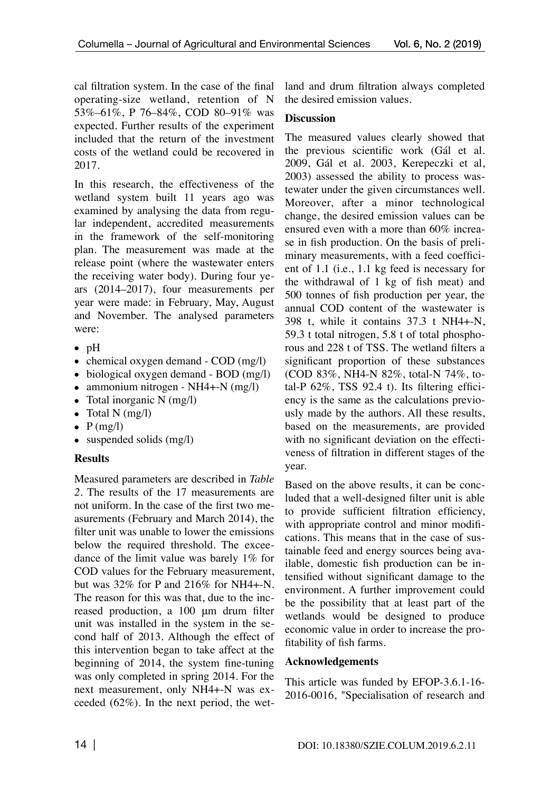cal filtration system. In the case of the final operating-size wetland, retention of N 53%–61%, P 76–84%, COD 80–91% was expected. Further results of the experiment included that the return of the investment costs of the wetland could be recovered in 2017.

In this research, the effectiveness of the wetland system built 11 years ago was examined by analysing the data from regular independent, accredited measurements in the framework of the self-monitoring plan. The measurement was made at the release point (where the wastewater enters the receiving water body). During four years (2014–2017), four measurements per year were made: in February, May, August and November. The analysed parameters were:

- pH
- chemical oxygen demand COD (mg/l)
- biological oxygen demand BOD (mg/l)
- ammonium nitrogen NH4+-N (mg/l)
- Total inorganic N (mg/l)
- Total N  $(mg/l)$
- $P$  (mg/l)
- suspended solids (mg/l)

# **Results**

Measured parameters are described in *Table 2.* The results of the 17 measurements are not uniform. In the case of the first two measurements (February and March 2014), the filter unit was unable to lower the emissions below the required threshold. The exceedance of the limit value was barely 1% for COD values for the February measurement, but was 32% for P and 216% for NH4+-N. The reason for this was that, due to the increased production, a 100 μm drum filter unit was installed in the system in the second half of 2013. Although the effect of this intervention began to take affect at the beginning of 2014, the system fine-tuning was only completed in spring 2014. For the next measurement, only NH4+-N was exceeded (62%). In the next period, the wetland and drum filtration always completed the desired emission values.

# **Discussion**

The measured values clearly showed that the previous scientific work (Gál et al. 2009, Gál et al. 2003, Kerepeczki et al, 2003) assessed the ability to process wastewater under the given circumstances well. Moreover, after a minor technological change, the desired emission values can be ensured even with a more than 60% increase in fish production. On the basis of preliminary measurements, with a feed coefficient of 1.1 (i.e., 1.1 kg feed is necessary for the withdrawal of 1 kg of fish meat) and 500 tonnes of fish production per year, the annual COD content of the wastewater is 398 t, while it contains 37.3 t NH4+-N, 59.3 t total nitrogen, 5.8 t of total phosphorous and 228 t of TSS. The wetland filters a significant proportion of these substances (COD 83%, NH4-N 82%, total-N 74%, total-P 62%, TSS 92.4 t). Its filtering efficiency is the same as the calculations previously made by the authors. All these results, based on the measurements, are provided with no significant deviation on the effectiveness of filtration in different stages of the year.

Based on the above results, it can be concluded that a well-designed filter unit is able to provide sufficient filtration efficiency, with appropriate control and minor modifications. This means that in the case of sustainable feed and energy sources being available, domestic fish production can be intensified without significant damage to the environment. A further improvement could be the possibility that at least part of the wetlands would be designed to produce economic value in order to increase the profitability of fish farms.

# **Acknowledgements**

This article was funded by EFOP-3.6.1-16- 2016-0016, "Specialisation of research and